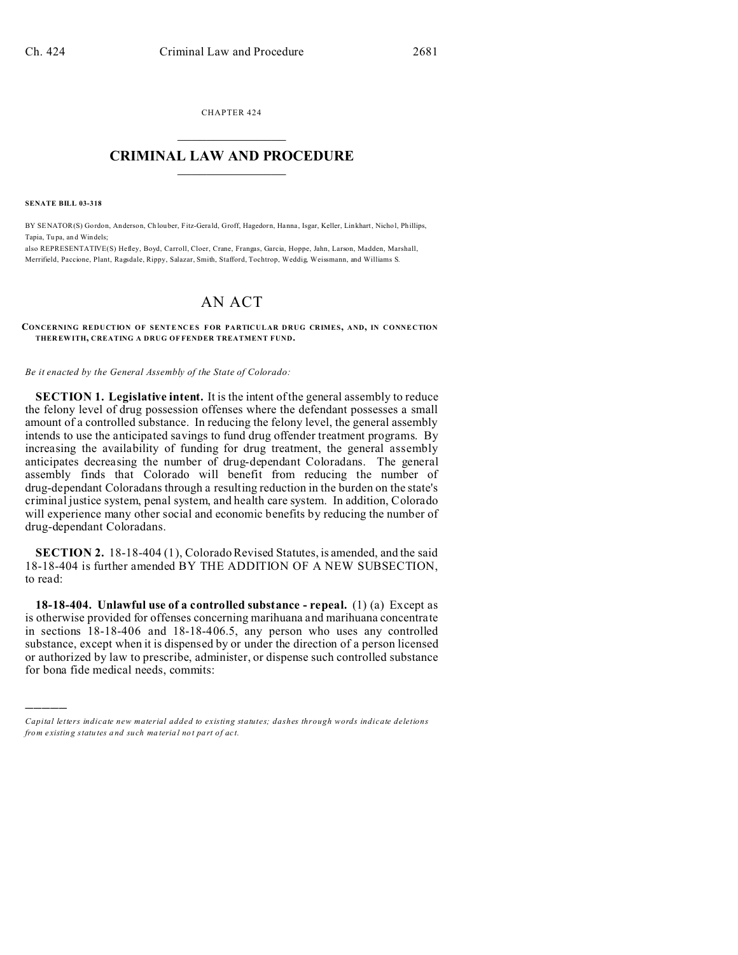CHAPTER 424  $\overline{\phantom{a}}$  , where  $\overline{\phantom{a}}$ 

# **CRIMINAL LAW AND PROCEDURE**  $\_$   $\_$   $\_$   $\_$   $\_$   $\_$   $\_$   $\_$   $\_$

**SENATE BILL 03-318**

)))))

BY SENATOR(S) Gordon, An derson, Ch louber, Fitz-Gerald, Groff, Hagedorn, Hanna , Isgar, Keller, Linkhart, Nicho l, Phillips, Tapia, Tu pa, and Windels;

also REPRESENTATIVE(S) Hefley, Boyd, Carroll, Cloer, Crane, Frangas, Garcia, Hoppe, Jahn, Larson, Madden, Marshall, Merrifield, Paccione, Plant, Ragsdale, Rippy, Salazar, Smith, Stafford, Tochtrop, Weddig, Weissmann, and Williams S.

# AN ACT

#### **CONCERNING REDUCTION OF SENTENCES FOR PARTICULAR DRUG CRIMES, AND, IN CONNECTION THER EWITH, CREATING A DRUG OF FENDER TREATMENT FUND.**

*Be it enacted by the General Assembly of the State of Colorado:*

**SECTION 1. Legislative intent.** It is the intent of the general assembly to reduce the felony level of drug possession offenses where the defendant possesses a small amount of a controlled substance. In reducing the felony level, the general assembly intends to use the anticipated savings to fund drug offender treatment programs. By increasing the availability of funding for drug treatment, the general assembly anticipates decreasing the number of drug-dependant Coloradans. The general assembly finds that Colorado will benefit from reducing the number of drug-dependant Coloradans through a resulting reduction in the burden on the state's criminal justice system, penal system, and health care system. In addition, Colorado will experience many other social and economic benefits by reducing the number of drug-dependant Coloradans.

**SECTION 2.** 18-18-404 (1), Colorado Revised Statutes, is amended, and the said 18-18-404 is further amended BY THE ADDITION OF A NEW SUBSECTION, to read:

**18-18-404. Unlawful use of a controlled substance - repeal.** (1) (a) Except as is otherwise provided for offenses concerning marihuana and marihuana concentrate in sections 18-18-406 and 18-18-406.5, any person who uses any controlled substance, except when it is dispensed by or under the direction of a person licensed or authorized by law to prescribe, administer, or dispense such controlled substance for bona fide medical needs, commits:

*Capital letters indicate new material added to existing statutes; dashes through words indicate deletions from e xistin g statu tes a nd such ma teria l no t pa rt of ac t.*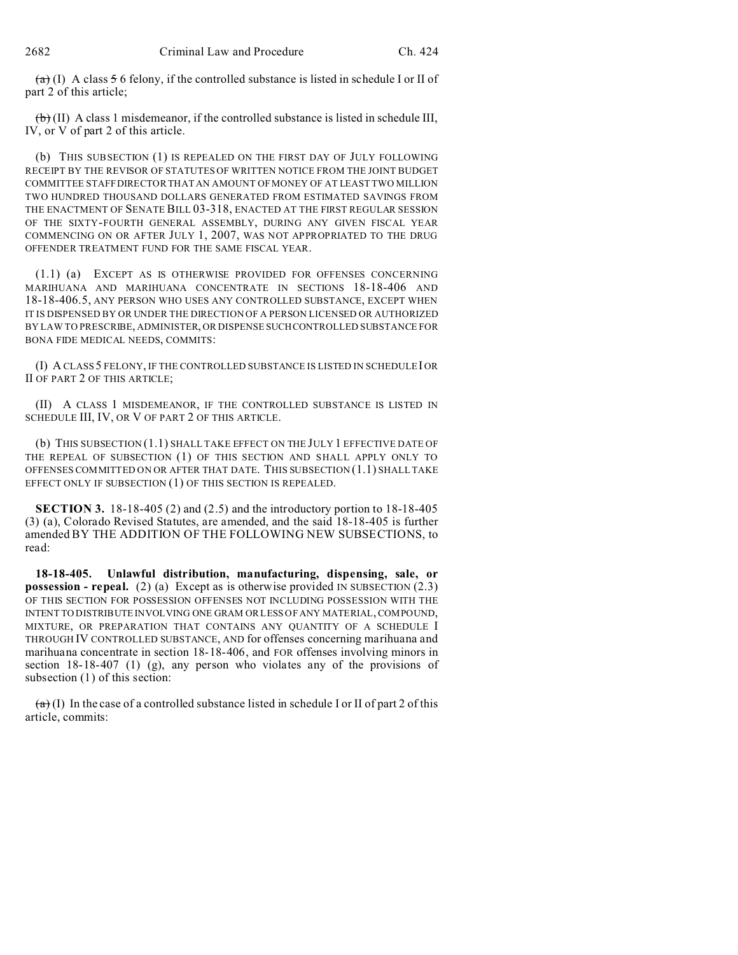$(a)$  (I) A class 5 6 felony, if the controlled substance is listed in schedule I or II of part 2 of this article;

 $\left\langle \uparrow \right\rangle$  (II) A class 1 misdemeanor, if the controlled substance is listed in schedule III, IV, or V of part 2 of this article.

(b) THIS SUBSECTION (1) IS REPEALED ON THE FIRST DAY OF JULY FOLLOWING RECEIPT BY THE REVISOR OF STATUTES OF WRITTEN NOTICE FROM THE JOINT BUDGET COMMITTEE STAFF DIRECTOR THAT AN AMOUNT OF MONEY OF AT LEAST TWO MILLION TWO HUNDRED THOUSAND DOLLARS GENERATED FROM ESTIMATED SAVINGS FROM THE ENACTMENT OF SENATE BILL 03-318, ENACTED AT THE FIRST REGULAR SESSION OF THE SIXTY-FOURTH GENERAL ASSEMBLY, DURING ANY GIVEN FISCAL YEAR COMMENCING ON OR AFTER JULY 1, 2007, WAS NOT APPROPRIATED TO THE DRUG OFFENDER TREATMENT FUND FOR THE SAME FISCAL YEAR.

(1.1) (a) EXCEPT AS IS OTHERWISE PROVIDED FOR OFFENSES CONCERNING MARIHUANA AND MARIHUANA CONCENTRATE IN SECTIONS 18-18-406 AND 18-18-406.5, ANY PERSON WHO USES ANY CONTROLLED SUBSTANCE, EXCEPT WHEN IT IS DISPENSED BY OR UNDER THE DIRECTION OF A PERSON LICENSED OR AUTHORIZED BY LAW TO PRESCRIBE, ADMINISTER, OR DISPENSE SUCHCONTROLLED SUBSTANCE FOR BONA FIDE MEDICAL NEEDS, COMMITS:

(I) A CLASS 5 FELONY, IF THE CONTROLLED SUBSTANCE IS LISTED IN SCHEDULEI OR II OF PART 2 OF THIS ARTICLE;

(II) A CLASS 1 MISDEMEANOR, IF THE CONTROLLED SUBSTANCE IS LISTED IN SCHEDULE III, IV, OR V OF PART 2 OF THIS ARTICLE.

(b) THIS SUBSECTION (1.1) SHALL TAKE EFFECT ON THE JULY 1 EFFECTIVE DATE OF THE REPEAL OF SUBSECTION (1) OF THIS SECTION AND SHALL APPLY ONLY TO OFFENSES COMMITTED ON OR AFTER THAT DATE. THIS SUBSECTION (1.1) SHALL TAKE EFFECT ONLY IF SUBSECTION (1) OF THIS SECTION IS REPEALED.

**SECTION 3.** 18-18-405 (2) and (2.5) and the introductory portion to 18-18-405 (3) (a), Colorado Revised Statutes, are amended, and the said 18-18-405 is further amended BY THE ADDITION OF THE FOLLOWING NEW SUBSECTIONS, to read:

**18-18-405. Unlawful distribution, manufacturing, dispensing, sale, or possession - repeal.** (2) (a) Except as is otherwise provided IN SUBSECTION (2.3) OF THIS SECTION FOR POSSESSION OFFENSES NOT INCLUDING POSSESSION WITH THE INTENT TO DISTRIBUTE INVOLVING ONE GRAM OR LESS OF ANY MATERIAL, COMPOUND, MIXTURE, OR PREPARATION THAT CONTAINS ANY QUANTITY OF A SCHEDULE I THROUGH IV CONTROLLED SUBSTANCE, AND for offenses concerning marihuana and marihuana concentrate in section 18-18-406, and FOR offenses involving minors in section 18-18-407 (1) (g), any person who violates any of the provisions of subsection (1) of this section:

 $(a)$  (I) In the case of a controlled substance listed in schedule I or II of part 2 of this article, commits: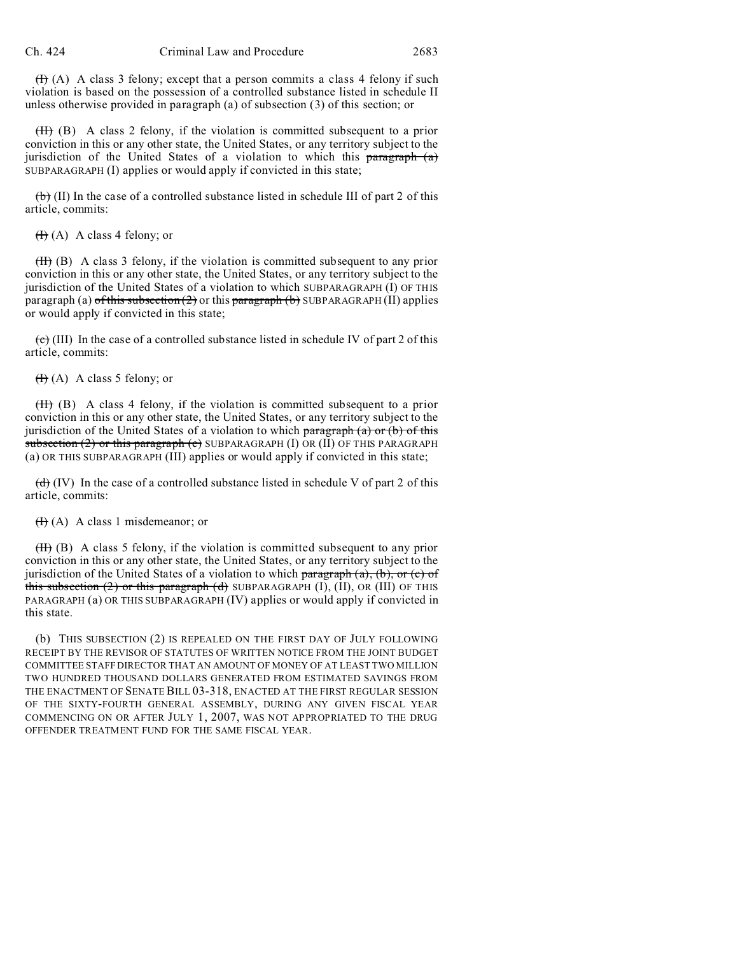$(H)$  (A) A class 3 felony; except that a person commits a class 4 felony if such violation is based on the possession of a controlled substance listed in schedule II unless otherwise provided in paragraph (a) of subsection (3) of this section; or

(II) (B) A class 2 felony, if the violation is committed subsequent to a prior conviction in this or any other state, the United States, or any territory subject to the jurisdiction of the United States of a violation to which this paragraph  $(a)$ SUBPARAGRAPH (I) applies or would apply if convicted in this state;

 $(b)$  (II) In the case of a controlled substance listed in schedule III of part 2 of this article, commits:

 $(H)$  (A) A class 4 felony; or

(II) (B) A class 3 felony, if the violation is committed subsequent to any prior conviction in this or any other state, the United States, or any territory subject to the jurisdiction of the United States of a violation to which SUBPARAGRAPH (I) OF THIS paragraph (a)  $\sigma$ fthis subsection (2) or this paragraph (b) SUBPARAGRAPH (II) applies or would apply if convicted in this state;

 $\overline{(e)}$  (III) In the case of a controlled substance listed in schedule IV of part 2 of this article, commits:

 $(H)$  (A) A class 5 felony; or

(II) (B) A class 4 felony, if the violation is committed subsequent to a prior conviction in this or any other state, the United States, or any territory subject to the jurisdiction of the United States of a violation to which  $\frac{1}{2}$  paragraph (a) or (b) of this subsection  $(2)$  or this paragraph  $(e)$  SUBPARAGRAPH  $(I)$  OR  $(II)$  OF THIS PARAGRAPH (a) OR THIS SUBPARAGRAPH (III) applies or would apply if convicted in this state;

 $(d)$  (IV) In the case of a controlled substance listed in schedule V of part 2 of this article, commits:

## $(H)$  (A) A class 1 misdemeanor; or

 $(H)$  (B) A class 5 felony, if the violation is committed subsequent to any prior conviction in this or any other state, the United States, or any territory subject to the jurisdiction of the United States of a violation to which  $\frac{\partial}{\partial x}$  paragraph  $(a)$ ,  $(b)$ , or  $(c)$  of this subsection  $(2)$  or this paragraph  $(d)$  SUBPARAGRAPH  $(I)$ ,  $(II)$ , OR  $(III)$  OF THIS PARAGRAPH (a) OR THIS SUBPARAGRAPH (IV) applies or would apply if convicted in this state.

(b) THIS SUBSECTION (2) IS REPEALED ON THE FIRST DAY OF JULY FOLLOWING RECEIPT BY THE REVISOR OF STATUTES OF WRITTEN NOTICE FROM THE JOINT BUDGET COMMITTEE STAFF DIRECTOR THAT AN AMOUNT OF MONEY OF AT LEAST TWO MILLION TWO HUNDRED THOUSAND DOLLARS GENERATED FROM ESTIMATED SAVINGS FROM THE ENACTMENT OF SENATE BILL 03-318, ENACTED AT THE FIRST REGULAR SESSION OF THE SIXTY-FOURTH GENERAL ASSEMBLY, DURING ANY GIVEN FISCAL YEAR COMMENCING ON OR AFTER JULY 1, 2007, WAS NOT APPROPRIATED TO THE DRUG OFFENDER TREATMENT FUND FOR THE SAME FISCAL YEAR.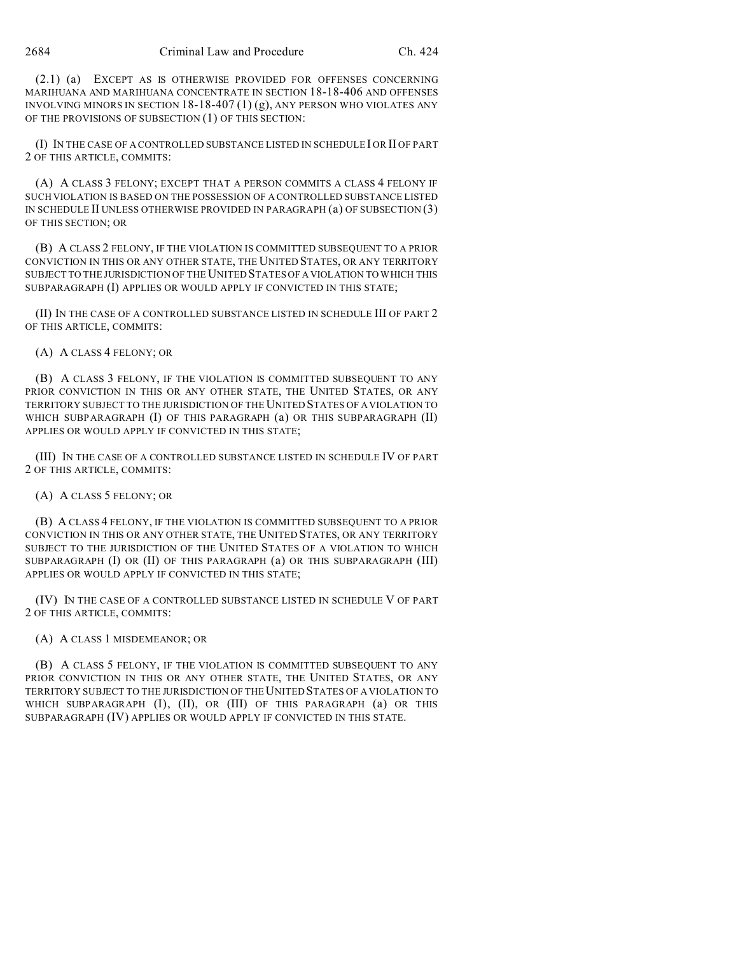(2.1) (a) EXCEPT AS IS OTHERWISE PROVIDED FOR OFFENSES CONCERNING MARIHUANA AND MARIHUANA CONCENTRATE IN SECTION 18-18-406 AND OFFENSES INVOLVING MINORS IN SECTION 18-18-407  $(1)(g)$ , ANY PERSON WHO VIOLATES ANY OF THE PROVISIONS OF SUBSECTION (1) OF THIS SECTION:

(I) IN THE CASE OF A CONTROLLED SUBSTANCE LISTED IN SCHEDULE I OR II OF PART 2 OF THIS ARTICLE, COMMITS:

(A) A CLASS 3 FELONY; EXCEPT THAT A PERSON COMMITS A CLASS 4 FELONY IF SUCH VIOLATION IS BASED ON THE POSSESSION OF A CONTROLLED SUBSTANCE LISTED IN SCHEDULE II UNLESS OTHERWISE PROVIDED IN PARAGRAPH (a) OF SUBSECTION (3) OF THIS SECTION; OR

(B) A CLASS 2 FELONY, IF THE VIOLATION IS COMMITTED SUBSEQUENT TO A PRIOR CONVICTION IN THIS OR ANY OTHER STATE, THE UNITED STATES, OR ANY TERRITORY SUBJECT TO THE JURISDICTION OF THE UNITED STATES OF A VIOLATION TO WHICH THIS SUBPARAGRAPH (I) APPLIES OR WOULD APPLY IF CONVICTED IN THIS STATE;

(II) IN THE CASE OF A CONTROLLED SUBSTANCE LISTED IN SCHEDULE III OF PART 2 OF THIS ARTICLE, COMMITS:

(A) A CLASS 4 FELONY; OR

(B) A CLASS 3 FELONY, IF THE VIOLATION IS COMMITTED SUBSEQUENT TO ANY PRIOR CONVICTION IN THIS OR ANY OTHER STATE, THE UNITED STATES, OR ANY TERRITORY SUBJECT TO THE JURISDICTION OF THE UNITED STATES OF A VIOLATION TO WHICH SUBPARAGRAPH (I) OF THIS PARAGRAPH (a) OR THIS SUBPARAGRAPH (II) APPLIES OR WOULD APPLY IF CONVICTED IN THIS STATE;

(III) IN THE CASE OF A CONTROLLED SUBSTANCE LISTED IN SCHEDULE IV OF PART 2 OF THIS ARTICLE, COMMITS:

(A) A CLASS 5 FELONY; OR

(B) A CLASS 4 FELONY, IF THE VIOLATION IS COMMITTED SUBSEQUENT TO A PRIOR CONVICTION IN THIS OR ANY OTHER STATE, THE UNITED STATES, OR ANY TERRITORY SUBJECT TO THE JURISDICTION OF THE UNITED STATES OF A VIOLATION TO WHICH SUBPARAGRAPH (I) OR (II) OF THIS PARAGRAPH (a) OR THIS SUBPARAGRAPH (III) APPLIES OR WOULD APPLY IF CONVICTED IN THIS STATE;

(IV) IN THE CASE OF A CONTROLLED SUBSTANCE LISTED IN SCHEDULE V OF PART 2 OF THIS ARTICLE, COMMITS:

(A) A CLASS 1 MISDEMEANOR; OR

(B) A CLASS 5 FELONY, IF THE VIOLATION IS COMMITTED SUBSEQUENT TO ANY PRIOR CONVICTION IN THIS OR ANY OTHER STATE, THE UNITED STATES, OR ANY TERRITORY SUBJECT TO THE JURISDICTION OF THE UNITED STATES OF A VIOLATION TO WHICH SUBPARAGRAPH (I), (II), OR (III) OF THIS PARAGRAPH (a) OR THIS SUBPARAGRAPH (IV) APPLIES OR WOULD APPLY IF CONVICTED IN THIS STATE.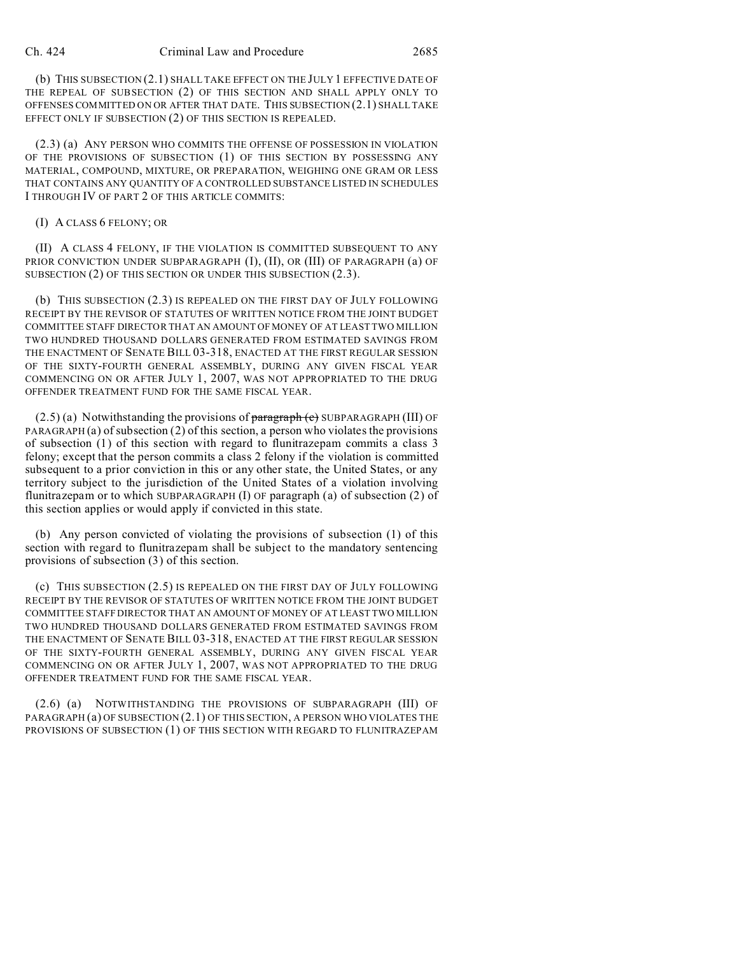(b) THIS SUBSECTION (2.1) SHALL TAKE EFFECT ON THE JULY 1 EFFECTIVE DATE OF THE REPEAL OF SUBSECTION (2) OF THIS SECTION AND SHALL APPLY ONLY TO OFFENSES COMMITTED ON OR AFTER THAT DATE. THIS SUBSECTION (2.1) SHALL TAKE EFFECT ONLY IF SUBSECTION (2) OF THIS SECTION IS REPEALED.

(2.3) (a) ANY PERSON WHO COMMITS THE OFFENSE OF POSSESSION IN VIOLATION OF THE PROVISIONS OF SUBSECTION (1) OF THIS SECTION BY POSSESSING ANY MATERIAL, COMPOUND, MIXTURE, OR PREPARATION, WEIGHING ONE GRAM OR LESS THAT CONTAINS ANY QUANTITY OF A CONTROLLED SUBSTANCE LISTED IN SCHEDULES I THROUGH IV OF PART 2 OF THIS ARTICLE COMMITS:

## (I) A CLASS 6 FELONY; OR

(II) A CLASS 4 FELONY, IF THE VIOLATION IS COMMITTED SUBSEQUENT TO ANY PRIOR CONVICTION UNDER SUBPARAGRAPH (I), (II), OR (III) OF PARAGRAPH (a) OF SUBSECTION (2) OF THIS SECTION OR UNDER THIS SUBSECTION (2.3).

(b) THIS SUBSECTION (2.3) IS REPEALED ON THE FIRST DAY OF JULY FOLLOWING RECEIPT BY THE REVISOR OF STATUTES OF WRITTEN NOTICE FROM THE JOINT BUDGET COMMITTEE STAFF DIRECTOR THAT AN AMOUNT OF MONEY OF AT LEAST TWO MILLION TWO HUNDRED THOUSAND DOLLARS GENERATED FROM ESTIMATED SAVINGS FROM THE ENACTMENT OF SENATE BILL 03-318, ENACTED AT THE FIRST REGULAR SESSION OF THE SIXTY-FOURTH GENERAL ASSEMBLY, DURING ANY GIVEN FISCAL YEAR COMMENCING ON OR AFTER JULY 1, 2007, WAS NOT APPROPRIATED TO THE DRUG OFFENDER TREATMENT FUND FOR THE SAME FISCAL YEAR.

 $(2.5)$  (a) Notwithstanding the provisions of paragraph  $(e)$  SUBPARAGRAPH (III) OF PARAGRAPH (a) of subsection (2) of this section, a person who violates the provisions of subsection (1) of this section with regard to flunitrazepam commits a class 3 felony; except that the person commits a class 2 felony if the violation is committed subsequent to a prior conviction in this or any other state, the United States, or any territory subject to the jurisdiction of the United States of a violation involving flunitrazepam or to which SUBPARAGRAPH (I) OF paragraph (a) of subsection (2) of this section applies or would apply if convicted in this state.

(b) Any person convicted of violating the provisions of subsection (1) of this section with regard to flunitrazepam shall be subject to the mandatory sentencing provisions of subsection (3) of this section.

(c) THIS SUBSECTION (2.5) IS REPEALED ON THE FIRST DAY OF JULY FOLLOWING RECEIPT BY THE REVISOR OF STATUTES OF WRITTEN NOTICE FROM THE JOINT BUDGET COMMITTEE STAFF DIRECTOR THAT AN AMOUNT OF MONEY OF AT LEAST TWO MILLION TWO HUNDRED THOUSAND DOLLARS GENERATED FROM ESTIMATED SAVINGS FROM THE ENACTMENT OF SENATE BILL 03-318, ENACTED AT THE FIRST REGULAR SESSION OF THE SIXTY-FOURTH GENERAL ASSEMBLY, DURING ANY GIVEN FISCAL YEAR COMMENCING ON OR AFTER JULY 1, 2007, WAS NOT APPROPRIATED TO THE DRUG OFFENDER TREATMENT FUND FOR THE SAME FISCAL YEAR.

(2.6) (a) NOTWITHSTANDING THE PROVISIONS OF SUBPARAGRAPH (III) OF PARAGRAPH (a) OF SUBSECTION (2.1) OF THIS SECTION, A PERSON WHO VIOLATES THE PROVISIONS OF SUBSECTION (1) OF THIS SECTION WITH REGARD TO FLUNITRAZEPAM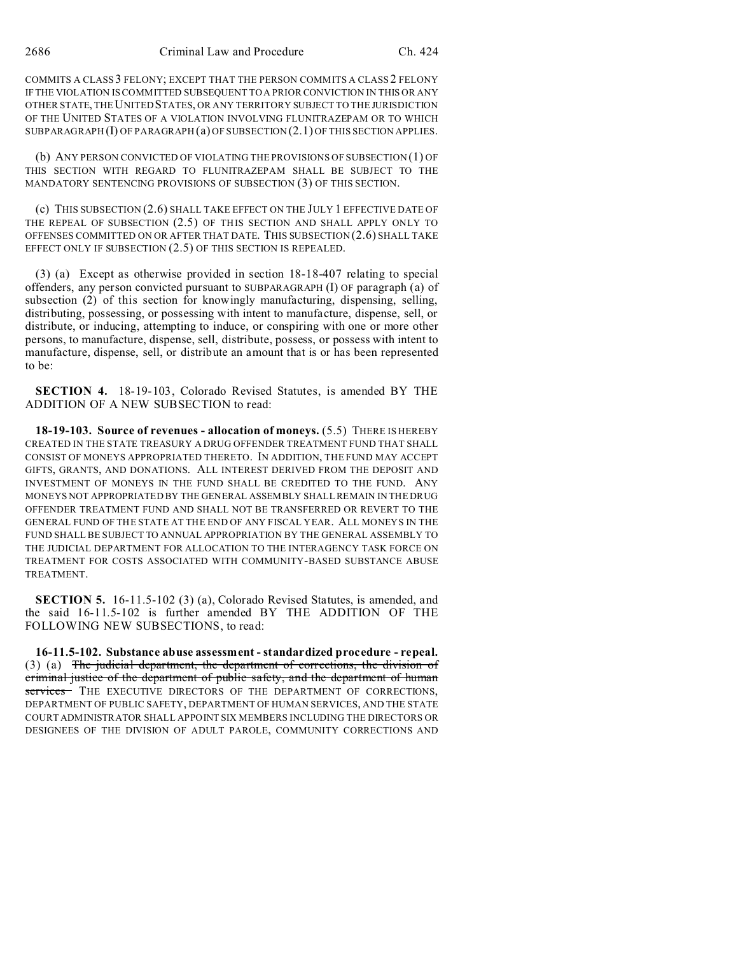COMMITS A CLASS 3 FELONY; EXCEPT THAT THE PERSON COMMITS A CLASS 2 FELONY IF THE VIOLATION IS COMMITTED SUBSEQUENT TO A PRIOR CONVICTION IN THIS OR ANY OTHER STATE, THE UNITED STATES, OR ANY TERRITORY SUBJECT TO THE JURISDICTION OF THE UNITED STATES OF A VIOLATION INVOLVING FLUNITRAZEPAM OR TO WHICH SUBPARAGRAPH (I) OF PARAGRAPH (a) OF SUBSECTION (2.1) OF THIS SECTION APPLIES.

(b) ANY PERSON CONVICTED OF VIOLATING THE PROVISIONS OF SUBSECTION (1) OF THIS SECTION WITH REGARD TO FLUNITRAZEPAM SHALL BE SUBJECT TO THE MANDATORY SENTENCING PROVISIONS OF SUBSECTION (3) OF THIS SECTION.

(c) THIS SUBSECTION (2.6) SHALL TAKE EFFECT ON THE JULY 1 EFFECTIVE DATE OF THE REPEAL OF SUBSECTION (2.5) OF THIS SECTION AND SHALL APPLY ONLY TO OFFENSES COMMITTED ON OR AFTER THAT DATE. THIS SUBSECTION (2.6) SHALL TAKE EFFECT ONLY IF SUBSECTION  $(2.5)$  OF THIS SECTION IS REPEALED.

(3) (a) Except as otherwise provided in section 18-18-407 relating to special offenders, any person convicted pursuant to SUBPARAGRAPH (I) OF paragraph (a) of subsection (2) of this section for knowingly manufacturing, dispensing, selling, distributing, possessing, or possessing with intent to manufacture, dispense, sell, or distribute, or inducing, attempting to induce, or conspiring with one or more other persons, to manufacture, dispense, sell, distribute, possess, or possess with intent to manufacture, dispense, sell, or distribute an amount that is or has been represented to be:

**SECTION 4.** 18-19-103, Colorado Revised Statutes, is amended BY THE ADDITION OF A NEW SUBSECTION to read:

**18-19-103. Source of revenues - allocation of moneys.** (5.5) THERE IS HEREBY CREATED IN THE STATE TREASURY A DRUG OFFENDER TREATMENT FUND THAT SHALL CONSIST OF MONEYS APPROPRIATED THERETO. IN ADDITION, THE FUND MAY ACCEPT GIFTS, GRANTS, AND DONATIONS. ALL INTEREST DERIVED FROM THE DEPOSIT AND INVESTMENT OF MONEYS IN THE FUND SHALL BE CREDITED TO THE FUND. ANY MONEYS NOT APPROPRIATED BY THE GENERAL ASSEMBLY SHALL REMAIN IN THE DRUG OFFENDER TREATMENT FUND AND SHALL NOT BE TRANSFERRED OR REVERT TO THE GENERAL FUND OF THE STATE AT THE END OF ANY FISCAL YEAR. ALL MONEYS IN THE FUND SHALL BE SUBJECT TO ANNUAL APPROPRIATION BY THE GENERAL ASSEMBLY TO THE JUDICIAL DEPARTMENT FOR ALLOCATION TO THE INTERAGENCY TASK FORCE ON TREATMENT FOR COSTS ASSOCIATED WITH COMMUNITY-BASED SUBSTANCE ABUSE TREATMENT.

**SECTION 5.** 16-11.5-102 (3) (a), Colorado Revised Statutes, is amended, and the said 16-11.5-102 is further amended BY THE ADDITION OF THE FOLLOWING NEW SUBSECTIONS, to read:

**16-11.5-102. Substance abuse assessment - standardized procedure - repeal.** (3) (a) The judicial department, the department of corrections, the division of criminal justice of the department of public safety, and the department of human services - THE EXECUTIVE DIRECTORS OF THE DEPARTMENT OF CORRECTIONS, DEPARTMENT OF PUBLIC SAFETY, DEPARTMENT OF HUMAN SERVICES, AND THE STATE COURT ADMINISTRATOR SHALL APPOINT SIX MEMBERS INCLUDING THE DIRECTORS OR DESIGNEES OF THE DIVISION OF ADULT PAROLE, COMMUNITY CORRECTIONS AND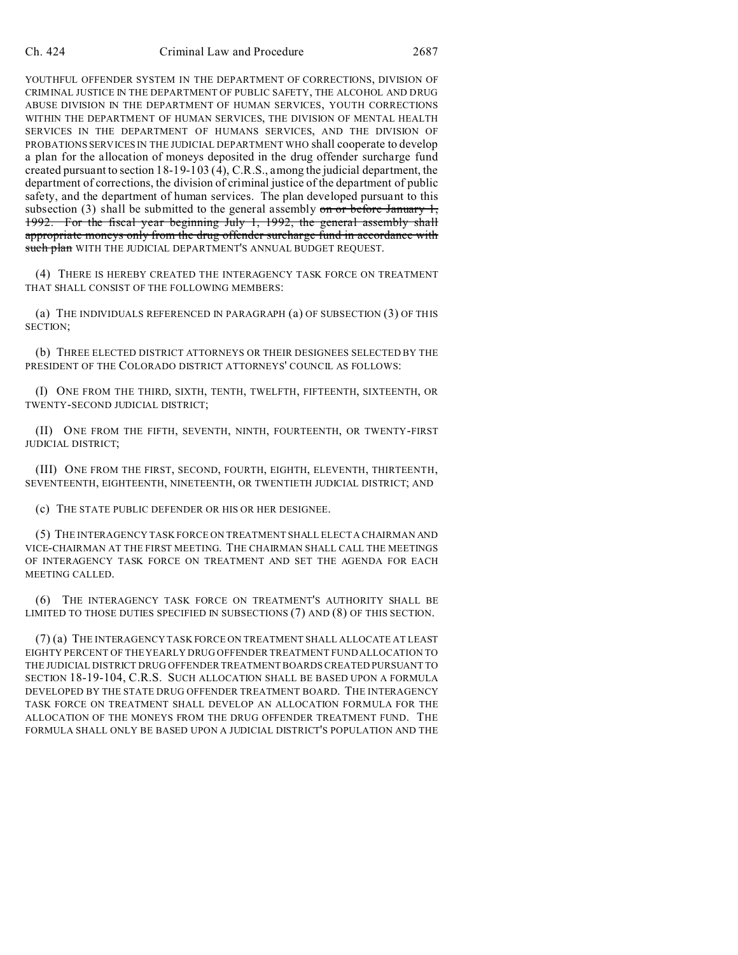YOUTHFUL OFFENDER SYSTEM IN THE DEPARTMENT OF CORRECTIONS, DIVISION OF CRIMINAL JUSTICE IN THE DEPARTMENT OF PUBLIC SAFETY, THE ALCOHOL AND DRUG ABUSE DIVISION IN THE DEPARTMENT OF HUMAN SERVICES, YOUTH CORRECTIONS WITHIN THE DEPARTMENT OF HUMAN SERVICES, THE DIVISION OF MENTAL HEALTH SERVICES IN THE DEPARTMENT OF HUMANS SERVICES, AND THE DIVISION OF PROBATIONS SERVICES IN THE JUDICIAL DEPARTMENT WHO shall cooperate to develop a plan for the allocation of moneys deposited in the drug offender surcharge fund created pursuant to section 18-19-103 (4), C.R.S., among the judicial department, the department of corrections, the division of criminal justice of the department of public safety, and the department of human services. The plan developed pursuant to this subsection (3) shall be submitted to the general assembly on or before January  $1$ , 1992. For the fiscal year beginning July 1, 1992, the general assembly shall appropriate moneys only from the drug offender surcharge fund in accordance with such plan WITH THE JUDICIAL DEPARTMENT'S ANNUAL BUDGET REQUEST.

(4) THERE IS HEREBY CREATED THE INTERAGENCY TASK FORCE ON TREATMENT THAT SHALL CONSIST OF THE FOLLOWING MEMBERS:

(a) THE INDIVIDUALS REFERENCED IN PARAGRAPH (a) OF SUBSECTION (3) OF THIS SECTION;

(b) THREE ELECTED DISTRICT ATTORNEYS OR THEIR DESIGNEES SELECTED BY THE PRESIDENT OF THE COLORADO DISTRICT ATTORNEYS' COUNCIL AS FOLLOWS:

(I) ONE FROM THE THIRD, SIXTH, TENTH, TWELFTH, FIFTEENTH, SIXTEENTH, OR TWENTY-SECOND JUDICIAL DISTRICT;

(II) ONE FROM THE FIFTH, SEVENTH, NINTH, FOURTEENTH, OR TWENTY-FIRST JUDICIAL DISTRICT;

(III) ONE FROM THE FIRST, SECOND, FOURTH, EIGHTH, ELEVENTH, THIRTEENTH, SEVENTEENTH, EIGHTEENTH, NINETEENTH, OR TWENTIETH JUDICIAL DISTRICT; AND

(c) THE STATE PUBLIC DEFENDER OR HIS OR HER DESIGNEE.

(5) THE INTERAGENCY TASK FORCE ON TREATMENT SHALL ELECT A CHAIRMAN AND VICE-CHAIRMAN AT THE FIRST MEETING. THE CHAIRMAN SHALL CALL THE MEETINGS OF INTERAGENCY TASK FORCE ON TREATMENT AND SET THE AGENDA FOR EACH MEETING CALLED.

(6) THE INTERAGENCY TASK FORCE ON TREATMENT'S AUTHORITY SHALL BE LIMITED TO THOSE DUTIES SPECIFIED IN SUBSECTIONS (7) AND (8) OF THIS SECTION.

(7) (a) THE INTERAGENCY TASK FORCE ON TREATMENT SHALL ALLOCATE AT LEAST EIGHTY PERCENT OF THE YEARLY DRUG OFFENDER TREATMENT FUND ALLOCATION TO THE JUDICIAL DISTRICT DRUG OFFENDER TREATMENT BOARDS CREATED PURSUANT TO SECTION 18-19-104, C.R.S. SUCH ALLOCATION SHALL BE BASED UPON A FORMULA DEVELOPED BY THE STATE DRUG OFFENDER TREATMENT BOARD. THE INTERAGENCY TASK FORCE ON TREATMENT SHALL DEVELOP AN ALLOCATION FORMULA FOR THE ALLOCATION OF THE MONEYS FROM THE DRUG OFFENDER TREATMENT FUND. THE FORMULA SHALL ONLY BE BASED UPON A JUDICIAL DISTRICT'S POPULATION AND THE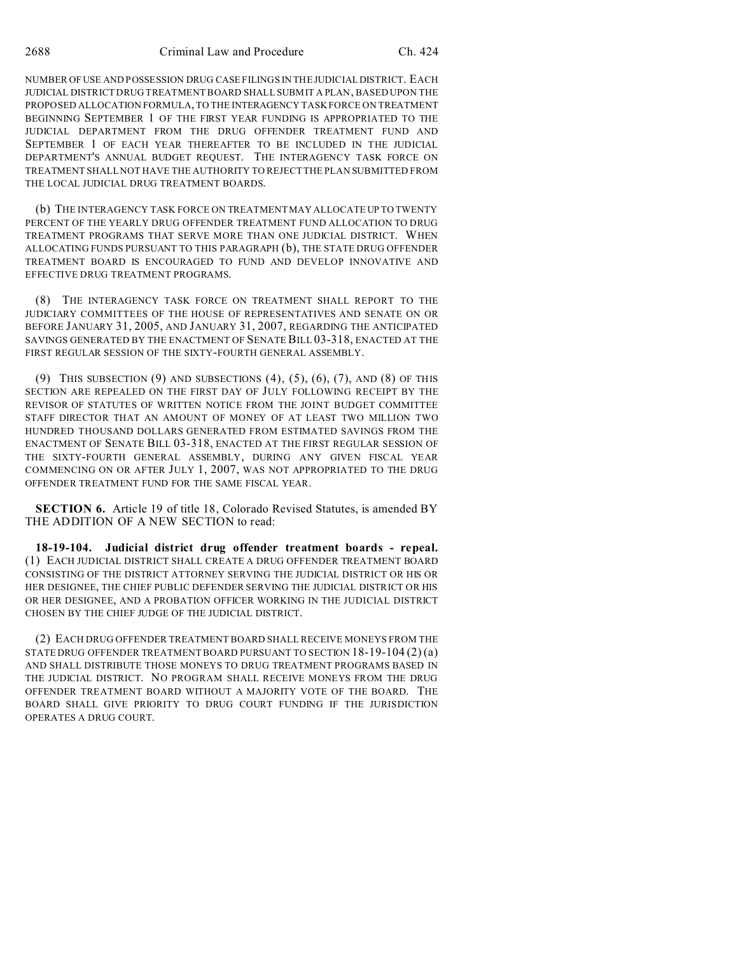NUMBER OF USE AND POSSESSION DRUG CASE FILINGS IN THE JUDICIALDISTRICT. EACH JUDICIAL DISTRICT DRUG TREATMENT BOARD SHALL SUBMIT A PLAN, BASED UPON THE PROPOSED ALLOCATION FORMULA, TO THE INTERAGENCY TASK FORCE ON TREATMENT BEGINNING SEPTEMBER 1 OF THE FIRST YEAR FUNDING IS APPROPRIATED TO THE JUDICIAL DEPARTMENT FROM THE DRUG OFFENDER TREATMENT FUND AND SEPTEMBER 1 OF EACH YEAR THEREAFTER TO BE INCLUDED IN THE JUDICIAL DEPARTMENT'S ANNUAL BUDGET REQUEST. THE INTERAGENCY TASK FORCE ON TREATMENT SHALL NOT HAVE THE AUTHORITY TO REJECT THE PLAN SUBMITTED FROM THE LOCAL JUDICIAL DRUG TREATMENT BOARDS.

(b) THE INTERAGENCY TASK FORCE ON TREATMENT MAY ALLOCATE UP TO TWENTY PERCENT OF THE YEARLY DRUG OFFENDER TREATMENT FUND ALLOCATION TO DRUG TREATMENT PROGRAMS THAT SERVE MORE THAN ONE JUDICIAL DISTRICT. WHEN ALLOCATING FUNDS PURSUANT TO THIS PARAGRAPH (b), THE STATE DRUG OFFENDER TREATMENT BOARD IS ENCOURAGED TO FUND AND DEVELOP INNOVATIVE AND EFFECTIVE DRUG TREATMENT PROGRAMS.

(8) THE INTERAGENCY TASK FORCE ON TREATMENT SHALL REPORT TO THE JUDICIARY COMMITTEES OF THE HOUSE OF REPRESENTATIVES AND SENATE ON OR BEFORE JANUARY 31, 2005, AND JANUARY 31, 2007, REGARDING THE ANTICIPATED SAVINGS GENERATED BY THE ENACTMENT OF SENATE BILL 03-318, ENACTED AT THE FIRST REGULAR SESSION OF THE SIXTY-FOURTH GENERAL ASSEMBLY.

(9) THIS SUBSECTION  $(9)$  AND SUBSECTIONS  $(4)$ ,  $(5)$ ,  $(6)$ ,  $(7)$ , AND  $(8)$  OF THIS SECTION ARE REPEALED ON THE FIRST DAY OF JULY FOLLOWING RECEIPT BY THE REVISOR OF STATUTES OF WRITTEN NOTICE FROM THE JOINT BUDGET COMMITTEE STAFF DIRECTOR THAT AN AMOUNT OF MONEY OF AT LEAST TWO MILLION TWO HUNDRED THOUSAND DOLLARS GENERATED FROM ESTIMATED SAVINGS FROM THE ENACTMENT OF SENATE BILL 03-318, ENACTED AT THE FIRST REGULAR SESSION OF THE SIXTY-FOURTH GENERAL ASSEMBLY, DURING ANY GIVEN FISCAL YEAR COMMENCING ON OR AFTER JULY 1, 2007, WAS NOT APPROPRIATED TO THE DRUG OFFENDER TREATMENT FUND FOR THE SAME FISCAL YEAR.

**SECTION 6.** Article 19 of title 18, Colorado Revised Statutes, is amended BY THE ADDITION OF A NEW SECTION to read:

**18-19-104. Judicial district drug offender treatment boards - repeal.** (1) EACH JUDICIAL DISTRICT SHALL CREATE A DRUG OFFENDER TREATMENT BOARD CONSISTING OF THE DISTRICT ATTORNEY SERVING THE JUDICIAL DISTRICT OR HIS OR HER DESIGNEE, THE CHIEF PUBLIC DEFENDER SERVING THE JUDICIAL DISTRICT OR HIS OR HER DESIGNEE, AND A PROBATION OFFICER WORKING IN THE JUDICIAL DISTRICT CHOSEN BY THE CHIEF JUDGE OF THE JUDICIAL DISTRICT.

(2) EACH DRUG OFFENDER TREATMENT BOARD SHALL RECEIVE MONEYS FROM THE STATE DRUG OFFENDER TREATMENT BOARD PURSUANT TO SECTION 18-19-104 (2) (a) AND SHALL DISTRIBUTE THOSE MONEYS TO DRUG TREATMENT PROGRAMS BASED IN THE JUDICIAL DISTRICT. NO PROGRAM SHALL RECEIVE MONEYS FROM THE DRUG OFFENDER TREATMENT BOARD WITHOUT A MAJORITY VOTE OF THE BOARD. THE BOARD SHALL GIVE PRIORITY TO DRUG COURT FUNDING IF THE JURISDICTION OPERATES A DRUG COURT.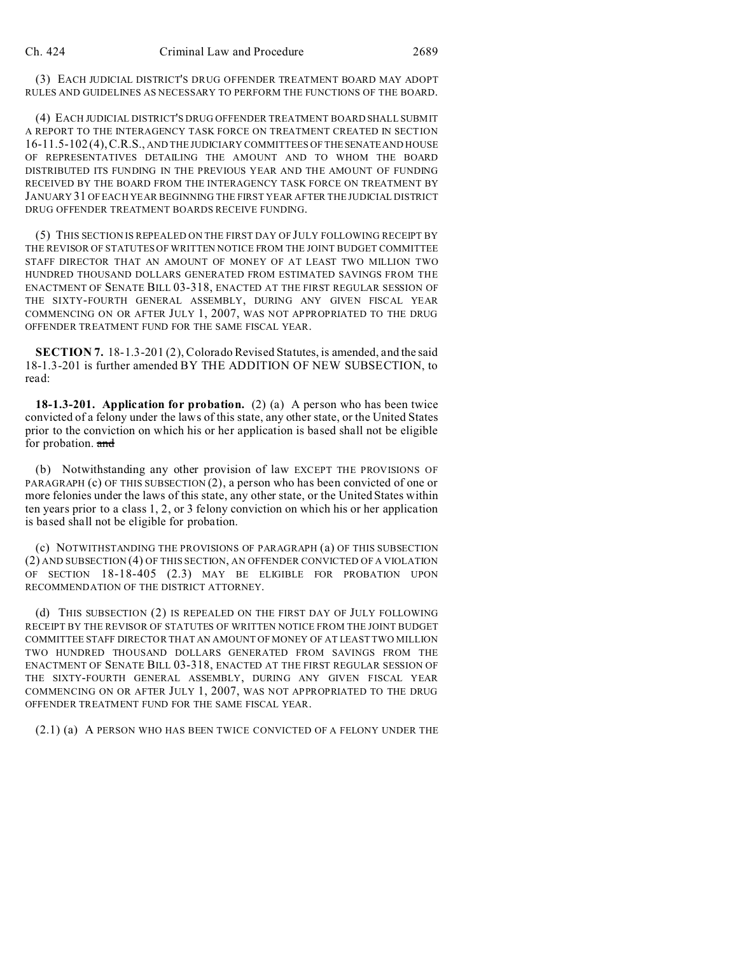(3) EACH JUDICIAL DISTRICT'S DRUG OFFENDER TREATMENT BOARD MAY ADOPT RULES AND GUIDELINES AS NECESSARY TO PERFORM THE FUNCTIONS OF THE BOARD.

(4) EACH JUDICIAL DISTRICT'S DRUG OFFENDER TREATMENT BOARD SHALL SUBMIT A REPORT TO THE INTERAGENCY TASK FORCE ON TREATMENT CREATED IN SECTION 16-11.5-102 (4),C.R.S., AND THE JUDICIARY COMMITTEES OF THESENATE AND HOUSE OF REPRESENTATIVES DETAILING THE AMOUNT AND TO WHOM THE BOARD DISTRIBUTED ITS FUNDING IN THE PREVIOUS YEAR AND THE AMOUNT OF FUNDING RECEIVED BY THE BOARD FROM THE INTERAGENCY TASK FORCE ON TREATMENT BY JANUARY 31 OF EACH YEAR BEGINNING THE FIRST YEAR AFTER THE JUDICIAL DISTRICT DRUG OFFENDER TREATMENT BOARDS RECEIVE FUNDING.

(5) THIS SECTION IS REPEALED ON THE FIRST DAY OF JULY FOLLOWING RECEIPT BY THE REVISOR OF STATUTES OF WRITTEN NOTICE FROM THE JOINT BUDGET COMMITTEE STAFF DIRECTOR THAT AN AMOUNT OF MONEY OF AT LEAST TWO MILLION TWO HUNDRED THOUSAND DOLLARS GENERATED FROM ESTIMATED SAVINGS FROM THE ENACTMENT OF SENATE BILL 03-318, ENACTED AT THE FIRST REGULAR SESSION OF THE SIXTY-FOURTH GENERAL ASSEMBLY, DURING ANY GIVEN FISCAL YEAR COMMENCING ON OR AFTER JULY 1, 2007, WAS NOT APPROPRIATED TO THE DRUG OFFENDER TREATMENT FUND FOR THE SAME FISCAL YEAR.

**SECTION 7.** 18-1.3-201 (2), Colorado Revised Statutes, is amended, and the said 18-1.3-201 is further amended BY THE ADDITION OF NEW SUBSECTION, to read:

**18-1.3-201. Application for probation.** (2) (a) A person who has been twice convicted of a felony under the laws of this state, any other state, or the United States prior to the conviction on which his or her application is based shall not be eligible for probation. and

(b) Notwithstanding any other provision of law EXCEPT THE PROVISIONS OF PARAGRAPH (c) OF THIS SUBSECTION (2), a person who has been convicted of one or more felonies under the laws of this state, any other state, or the United States within ten years prior to a class 1, 2, or 3 felony conviction on which his or her application is based shall not be eligible for probation.

(c) NOTWITHSTANDING THE PROVISIONS OF PARAGRAPH (a) OF THIS SUBSECTION (2) AND SUBSECTION (4) OF THIS SECTION, AN OFFENDER CONVICTED OF A VIOLATION OF SECTION 18-18-405 (2.3) MAY BE ELIGIBLE FOR PROBATION UPON RECOMMENDATION OF THE DISTRICT ATTORNEY.

(d) THIS SUBSECTION (2) IS REPEALED ON THE FIRST DAY OF JULY FOLLOWING RECEIPT BY THE REVISOR OF STATUTES OF WRITTEN NOTICE FROM THE JOINT BUDGET COMMITTEE STAFF DIRECTOR THAT AN AMOUNT OF MONEY OF AT LEAST TWO MILLION TWO HUNDRED THOUSAND DOLLARS GENERATED FROM SAVINGS FROM THE ENACTMENT OF SENATE BILL 03-318, ENACTED AT THE FIRST REGULAR SESSION OF THE SIXTY-FOURTH GENERAL ASSEMBLY, DURING ANY GIVEN FISCAL YEAR COMMENCING ON OR AFTER JULY 1, 2007, WAS NOT APPROPRIATED TO THE DRUG OFFENDER TREATMENT FUND FOR THE SAME FISCAL YEAR.

(2.1) (a) A PERSON WHO HAS BEEN TWICE CONVICTED OF A FELONY UNDER THE